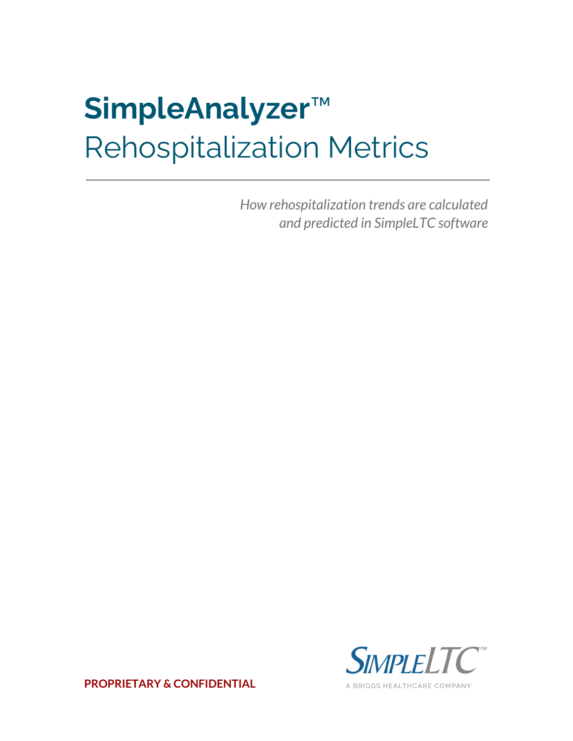# **SimpleAnalyzer**™ Rehospitalization Metrics

*How rehospitalization trends are calculated and predicted in SimpleLTC software*



**PROPRIETARY & CONFIDENTIAL**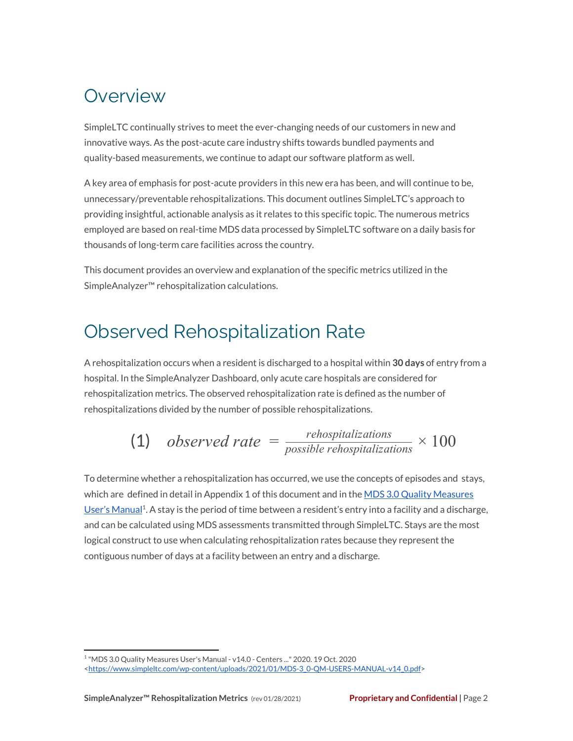### **Overview**

SimpleLTC continually strives to meet the ever-changing needs of our customers in new and innovative ways. As the post-acute care industry shifts towards bundled payments and quality-based measurements, we continue to adapt our software platform as well.

A key area of emphasis for post-acute providers in this new era has been, and will continue to be, unnecessary/preventable rehospitalizations. This document outlines SimpleLTC's approach to providing insightful, actionable analysis as it relates to this specific topic. The numerous metrics employed are based on real-time MDS data processed by SimpleLTC software on a daily basis for thousands of long-term care facilities across the country.

This document provides an overview and explanation of the specific metrics utilized in the SimpleAnalyzer™ rehospitalization calculations.

## Observed Rehospitalization Rate

A rehospitalization occurs when a resident is discharged to a hospital within **30 days** of entry from a hospital. In the SimpleAnalyzer Dashboard, only acute care hospitals are considered for rehospitalization metrics. The observed rehospitalization rate is defined as the number of rehospitalizations divided by the number of possible rehospitalizations.

(1) observed rate = 
$$
\frac{rehospitalizations}{possible\ rehospitalizations} \times 100
$$

To determine whether a rehospitalization has occurred, we use the concepts of episodes and stays, which are defined in detail in Appendix 1 of this document and in the MDS 3.0 Quality [Measures](https://www.simpleltc.com/wp-content/uploads/2021/01/MDS-3_0-QM-USERS-MANUAL-v14_0.pdf) User's [Manual](https://www.simpleltc.com/wp-content/uploads/2021/01/MDS-3_0-QM-USERS-MANUAL-v14_0.pdf)<sup>1</sup>. A stay is the period of time between a resident's entry into a facility and a discharge, and can be calculated using MDS assessments transmitted through SimpleLTC. Stays are the most logical construct to use when calculating rehospitalization rates because they represent the contiguous number of days at a facility between an entry and a discharge.

<sup>&</sup>lt;sup>1</sup> "MDS 3.0 Quality Measures User's Manual - v14.0 - Centers ..." 2020. 19 Oct. 2020 [<https://www.simpleltc.com/wp-content/uploads/2021/01/MDS-3\\_0-QM-USERS-MANUAL-v14\\_0.pdf>](https://www.simpleltc.com/wp-content/uploads/2021/01/MDS-3_0-QM-USERS-MANUAL-v14_0.pdf)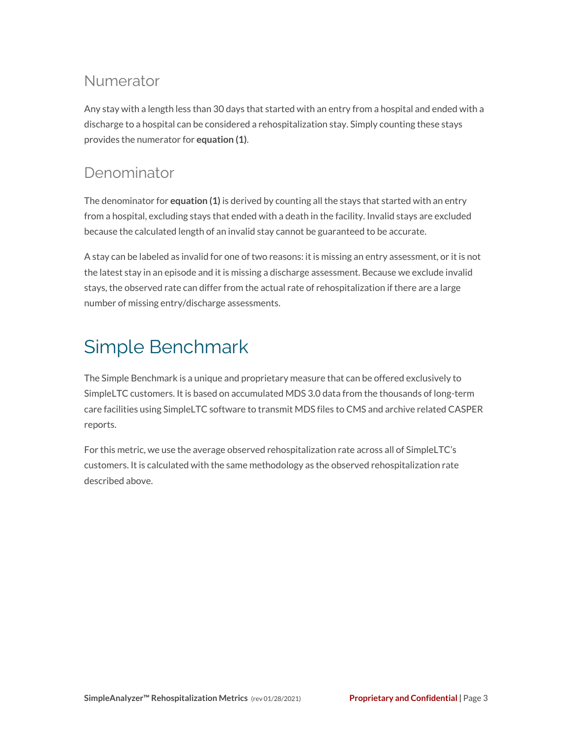#### Numerator

Any stay with a length less than 30 days that started with an entry from a hospital and ended with a discharge to a hospital can be considered a rehospitalization stay. Simply counting these stays provides the numerator for **equation (1)**.

### Denominator

The denominator for **equation (1)** is derived by counting all the stays that started with an entry from a hospital, excluding stays that ended with a death in the facility. Invalid stays are excluded because the calculated length of an invalid stay cannot be guaranteed to be accurate.

A stay can be labeled as invalid for one of two reasons: it is missing an entry assessment, or it is not the latest stay in an episode and it is missing a discharge assessment. Because we exclude invalid stays, the observed rate can differ from the actual rate of rehospitalization if there are a large number of missing entry/discharge assessments.

# Simple Benchmark

The Simple Benchmark is a unique and proprietary measure that can be offered exclusively to SimpleLTC customers. It is based on accumulated MDS 3.0 data from the thousands of long-term care facilities using SimpleLTC software to transmit MDS files to CMS and archive related CASPER reports.

For this metric, we use the average observed rehospitalization rate across all of SimpleLTC's customers. It is calculated with the same methodology as the observed rehospitalization rate described above.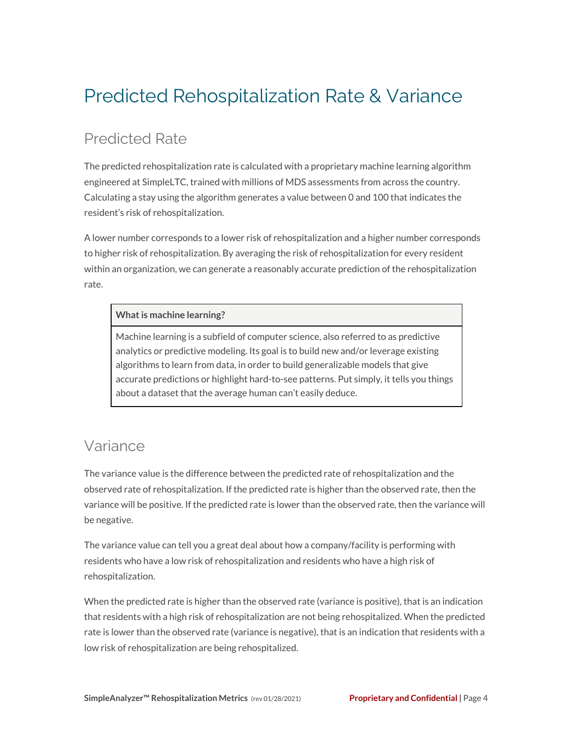# Predicted Rehospitalization Rate & Variance

### Predicted Rate

The predicted rehospitalization rate is calculated with a proprietary machine learning algorithm engineered at SimpleLTC, trained with millions of MDS assessments from across the country. Calculating a stay using the algorithm generates a value between 0 and 100 that indicates the resident's risk of rehospitalization.

A lower number corresponds to a lower risk of rehospitalization and a higher number corresponds to higher risk of rehospitalization. By averaging the risk of rehospitalization for every resident within an organization, we can generate a reasonably accurate prediction of the rehospitalization rate.

#### **What is machine learning?**

Machine learning is a subfield of computer science, also referred to as predictive analytics or predictive modeling. Its goal is to build new and/or leverage existing algorithms to learn from data, in order to build generalizable models that give accurate predictions or highlight hard-to-see patterns. Put simply, it tells you things about a dataset that the average human can't easily deduce.

#### Variance

The variance value is the difference between the predicted rate of rehospitalization and the observed rate of rehospitalization. If the predicted rate is higher than the observed rate, then the variance will be positive. If the predicted rate is lower than the observed rate, then the variance will be negative.

The variance value can tell you a great deal about how a company/facility is performing with residents who have a low risk of rehospitalization and residents who have a high risk of rehospitalization.

When the predicted rate is higher than the observed rate (variance is positive), that is an indication that residents with a high risk of rehospitalization are not being rehospitalized. When the predicted rate is lower than the observed rate (variance is negative), that is an indication that residents with a low risk of rehospitalization are being rehospitalized.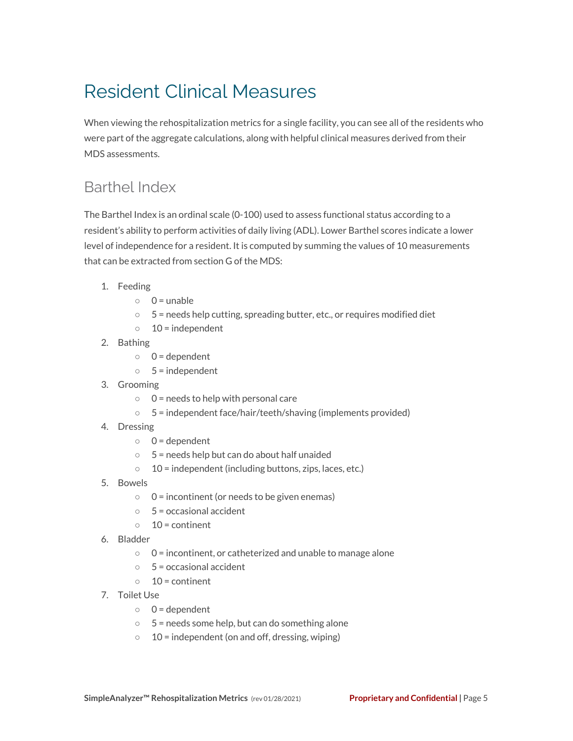# Resident Clinical Measures

When viewing the rehospitalization metrics for a single facility, you can see all of the residents who were part of the aggregate calculations, along with helpful clinical measures derived from their MDS assessments.

#### Barthel Index

The Barthel Index is an ordinal scale (0-100) used to assess functional status according to a resident's ability to perform activities of daily living (ADL). Lower Barthel scores indicate a lower level of independence for a resident. It is computed by summing the values of 10 measurements that can be extracted from section G of the MDS:

- 1. Feeding
	- $0 =$  unable
	- 5 = needs help cutting, spreading butter, etc., or requires modified diet
	- $\circ$  10 = independent
- 2. Bathing
	- $0 =$  dependent
	- $0.5 =$  independent
- 3. Grooming
	- $0 =$  needs to help with personal care
	- 5 = independent face/hair/teeth/shaving (implements provided)
- 4. Dressing
	- $0 =$  dependent
	- 5 = needs help but can do about half unaided
	- $\circ$  10 = independent (including buttons, zips, laces, etc.)
- 5. Bowels
	- $0 =$  incontinent (or needs to be given enemas)
	- $\circ$  5 = occasional accident
	- $\circ$  10 = continent
- 6. Bladder
	- 0 = incontinent, or catheterized and unable to manage alone
	- $\circ$  5 = occasional accident
	- $\circ$  10 = continent
- 7. Toilet Use
	- $0 =$  dependent
	- $\circ$  5 = needs some help, but can do something alone
	- $\circ$  10 = independent (on and off, dressing, wiping)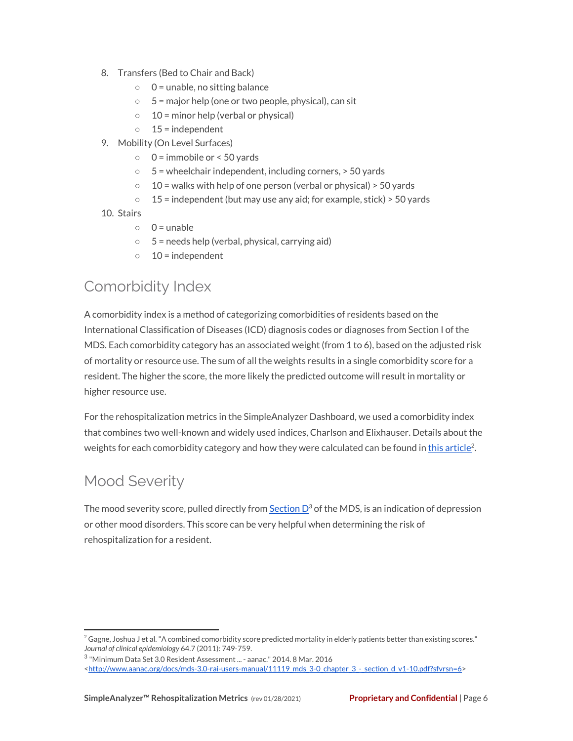- 8. Transfers (Bed to Chair and Back)
	- 0 = unable, no sitting balance
	- $\circ$  5 = major help (one or two people, physical), can sit
	- $\circ$  10 = minor help (verbal or physical)
	- $0$  15 = independent
- 9. Mobility (On Level Surfaces)
	- $0 =$  immobile or < 50 yards
	- $\circ$  5 = wheelchair independent, including corners,  $>$  50 yards
	- $\circ$  10 = walks with help of one person (verbal or physical) > 50 yards
	- $\circ$  15 = independent (but may use any aid; for example, stick) > 50 yards
- 10. Stairs
	- $0 =$  unable
	- $\circ$  5 = needs help (verbal, physical, carrying aid)
	- $\circ$  10 = independent

#### Comorbidity Index

A comorbidity index is a method of categorizing comorbidities of residents based on the International Classification of Diseases (ICD) diagnosis codes or diagnoses from Section I of the MDS. Each comorbidity category has an associated weight (from 1 to 6), based on the adjusted risk of mortality or resource use. The sum of all the weights results in a single comorbidity score for a resident. The higher the score, the more likely the predicted outcome will result in mortality or higher resource use.

For the rehospitalization metrics in the SimpleAnalyzer Dashboard, we used a comorbidity index that combines two well-known and widely used indices, Charlson and Elixhauser. Details about the weights for each comorbidity category and how they were calculated can be found in <u>this [article](http://www.ncbi.nlm.nih.gov/pmc/articles/PMC3100405/)</u><sup>2</sup>.

### Mood Severity

The mood severity score, pulled directly from  $\underline{\sf Section\,}$  $\underline{\sf Section\,}$  $\underline{\sf Section\,}$   $\sf D^3$  of the MDS, is an indication of depression or other mood disorders. This score can be very helpful when determining the risk of rehospitalization for a resident.

 $^2$  Gagne, Joshua J et al. "A combined comorbidity score predicted mortality in elderly patients better than existing scores." *Journal of clinical epidemiology* 64.7 (2011): 749-759.

 $^3$  "Minimum Data Set 3.0 Resident Assessment ... - aanac." 2014. 8 Mar. 2016

[<sup>&</sup>lt;http://www.aanac.org/docs/mds-3.0-rai-users-manual/11119\\_mds\\_3-0\\_chapter\\_3\\_-\\_section\\_d\\_v1-10.pdf?sfvrsn=6>](http://www.aanac.org/docs/mds-3.0-rai-users-manual/11119_mds_3-0_chapter_3_-_section_d_v1-10.pdf?sfvrsn=6)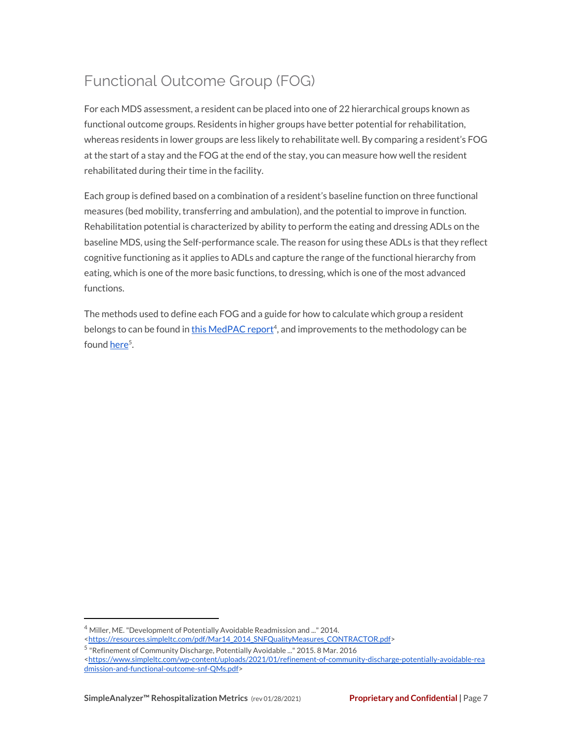### Functional Outcome Group (FOG)

For each MDS assessment, a resident can be placed into one of 22 hierarchical groups known as functional outcome groups. Residents in higher groups have better potential for rehabilitation, whereas residents in lower groups are less likely to rehabilitate well. By comparing a resident's FOG at the start of a stay and the FOG at the end of the stay, you can measure how well the resident rehabilitated during their time in the facility.

Each group is defined based on a combination of a resident's baseline function on three functional measures (bed mobility, transferring and ambulation), and the potential to improve in function. Rehabilitation potential is characterized by ability to perform the eating and dressing ADLs on the baseline MDS, using the Self-performance scale. The reason for using these ADLs is that they reflect cognitive functioning as it applies to ADLs and capture the range of the functional hierarchy from eating, which is one of the more basic functions, to dressing, which is one of the most advanced functions.

The methods used to define each FOG and a guide for how to calculate which group a resident belongs to can be found in this [MedPAC](https://resources.simpleltc.com/pdf/Mar14_2014_SNFQualityMeasures_CONTRACTOR.pdf) report<sup>4</sup>, and improvements to the methodology can be found <u>[here](https://www.simpleltc.com/wp-content/uploads/2021/01/refinement-of-community-discharge-potentially-avoidable-readmission-and-functional-outcome-snf-QMs.pdf)</u><sup>5</sup>.

<sup>4</sup> Miller, ME."Development of Potentially Avoidable Readmission and ..." 2014. [<https://resources.simpleltc.com/pdf/Mar14\\_2014\\_SNFQualityMeasures\\_CONTRACTOR.pdf>](https://resources.simpleltc.com/pdf/Mar14_2014_SNFQualityMeasures_CONTRACTOR.pdf)

<sup>&</sup>lt;sup>5</sup> "Refinement of Community Discharge, Potentially Avoidable ..." 2015. 8 Mar. 2016

[<sup>&</sup>lt;https://www.simpleltc.com/wp-content/uploads/2021/01/refinement-of-community-discharge-potentially-avoidable-rea](https://www.simpleltc.com/wp-content/uploads/2021/01/refinement-of-community-discharge-potentially-avoidable-readmission-and-functional-outcome-snf-QMs.pdf) [dmission-and-functional-outcome-snf-QMs.pdf>](https://www.simpleltc.com/wp-content/uploads/2021/01/refinement-of-community-discharge-potentially-avoidable-readmission-and-functional-outcome-snf-QMs.pdf)